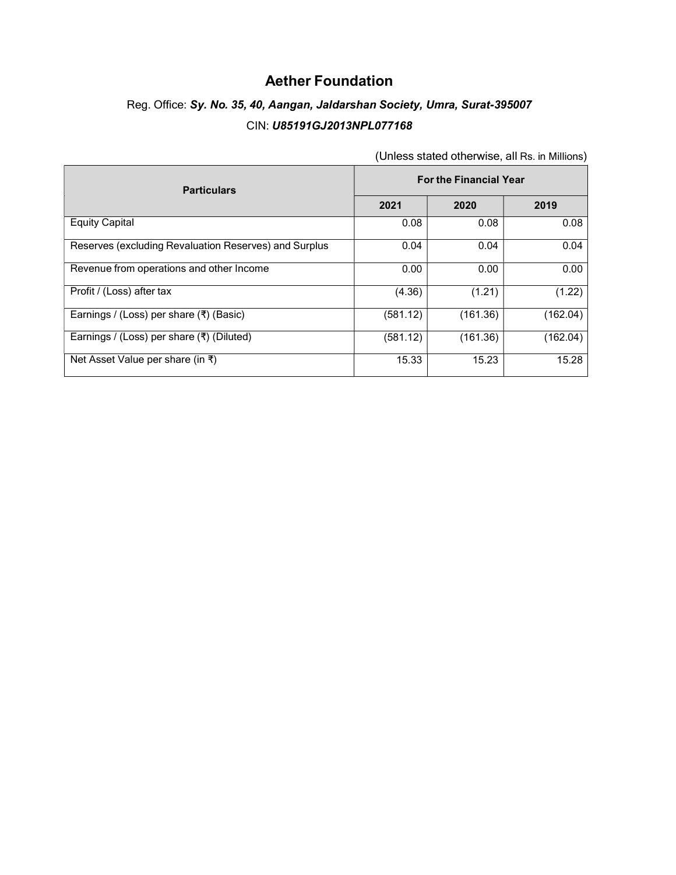#### Aether Foundation

# Reg. Office: Sy. No. 35, 40, Aangan, Jaldarshan Society, Umra, Surat-395007 CIN: U85191GJ2013NPL077168

| <b>Particulars</b>                                        | <b>For the Financial Year</b> |          |          |
|-----------------------------------------------------------|-------------------------------|----------|----------|
|                                                           | 2021                          | 2020     | 2019     |
| <b>Equity Capital</b>                                     | 0.08                          | 0.08     | 0.08     |
| Reserves (excluding Revaluation Reserves) and Surplus     | 0.04                          | 0.04     | 0.04     |
| Revenue from operations and other Income                  | 0.00                          | 0.00     | 0.00     |
| Profit / (Loss) after tax                                 | (4.36)                        | (1.21)   | (1.22)   |
| Earnings / (Loss) per share $(\bar{\tau})$ (Basic)        | (581.12)                      | (161.36) | (162.04) |
| Earnings / (Loss) per share $(\overline{\tau})$ (Diluted) | (581.12)                      | (161.36) | (162.04) |
| Net Asset Value per share (in ₹)                          | 15.33                         | 15.23    | 15.28    |

(Unless stated otherwise, all Rs. in Millions)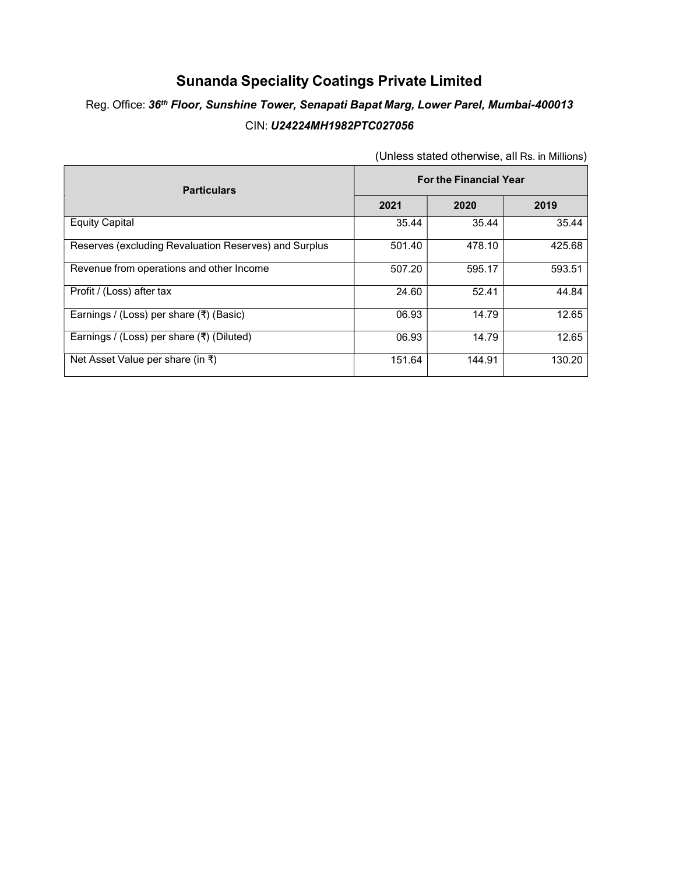#### Sunanda Speciality Coatings Private Limited

## Reg. Office: 36<sup>th</sup> Floor, Sunshine Tower, Senapati Bapat Marg, Lower Parel, Mumbai-400013 CIN: U24224MH1982PTC027056

| <b>Particulars</b>                                        | <b>For the Financial Year</b> |        |        |
|-----------------------------------------------------------|-------------------------------|--------|--------|
|                                                           | 2021                          | 2020   | 2019   |
| <b>Equity Capital</b>                                     | 35.44                         | 35.44  | 35.44  |
| Reserves (excluding Revaluation Reserves) and Surplus     | 501.40                        | 478.10 | 425.68 |
| Revenue from operations and other Income                  | 507.20                        | 595.17 | 593.51 |
| Profit / (Loss) after tax                                 | 24.60                         | 52.41  | 44.84  |
| Earnings / (Loss) per share $(\bar{\tau})$ (Basic)        | 06.93                         | 14.79  | 12.65  |
| Earnings / (Loss) per share $(\overline{\tau})$ (Diluted) | 06.93                         | 14.79  | 12.65  |
| Net Asset Value per share (in ₹)                          | 151.64                        | 144.91 | 130.20 |

(Unless stated otherwise, all Rs. in Millions)